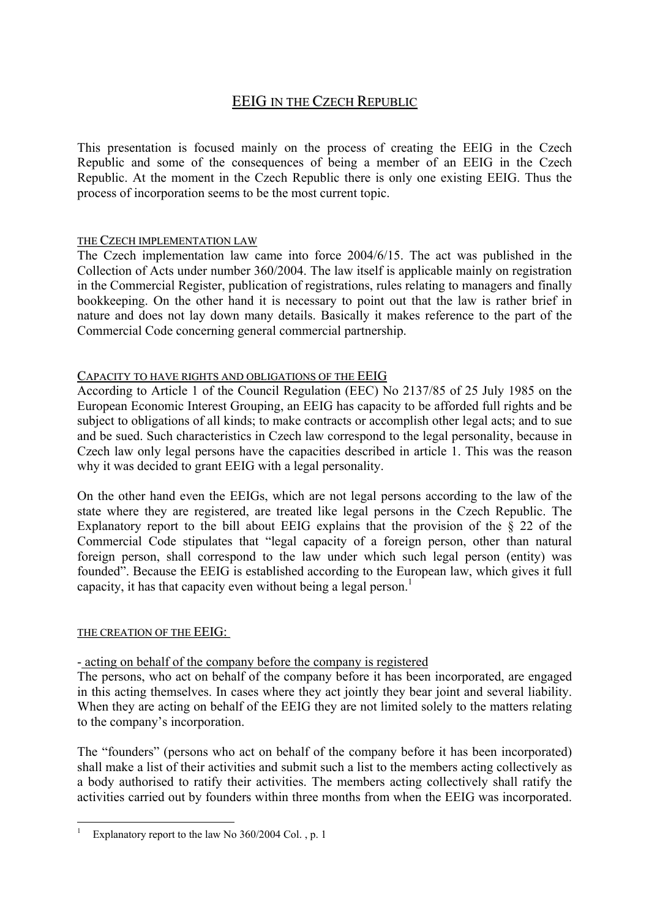# EEIG IN THE CZECH REPUBLIC

This presentation is focused mainly on the process of creating the EEIG in the Czech Republic and some of the consequences of being a member of an EEIG in the Czech Republic. At the moment in the Czech Republic there is only one existing EEIG. Thus the process of incorporation seems to be the most current topic.

#### THE CZECH IMPLEMENTATION LAW

The Czech implementation law came into force 2004/6/15. The act was published in the Collection of Acts under number 360/2004. The law itself is applicable mainly on registration in the Commercial Register, publication of registrations, rules relating to managers and finally bookkeeping. On the other hand it is necessary to point out that the law is rather brief in nature and does not lay down many details. Basically it makes reference to the part of the Commercial Code concerning general commercial partnership.

#### CAPACITY TO HAVE RIGHTS AND OBLIGATIONS OF THE EEIG

According to Article 1 of the Council Regulation (EEC) No 2137/85 of 25 July 1985 on the European Economic Interest Grouping, an EEIG has capacity to be afforded full rights and be subject to obligations of all kinds; to make contracts or accomplish other legal acts; and to sue and be sued. Such characteristics in Czech law correspond to the legal personality, because in Czech law only legal persons have the capacities described in article 1. This was the reason why it was decided to grant EEIG with a legal personality.

On the other hand even the EEIGs, which are not legal persons according to the law of the state where they are registered, are treated like legal persons in the Czech Republic. The Explanatory report to the bill about EEIG explains that the provision of the § 22 of the Commercial Code stipulates that "legal capacity of a foreign person, other than natural foreign person, shall correspond to the law under which such legal person (entity) was founded". Because the EEIG is established according to the European law, which gives it full capacity, it has that capacity even without being a legal person.<sup>1</sup>

#### THE CREATION OF THE EEIG:

1

#### - acting on behalf of the company before the company is registered

The persons, who act on behalf of the company before it has been incorporated, are engaged in this acting themselves. In cases where they act jointly they bear joint and several liability. When they are acting on behalf of the EEIG they are not limited solely to the matters relating to the company's incorporation.

The "founders" (persons who act on behalf of the company before it has been incorporated) shall make a list of their activities and submit such a list to the members acting collectively as a body authorised to ratify their activities. The members acting collectively shall ratify the activities carried out by founders within three months from when the EEIG was incorporated.

<span id="page-0-0"></span><sup>1</sup> Explanatory report to the law No 360/2004 Col. , p. 1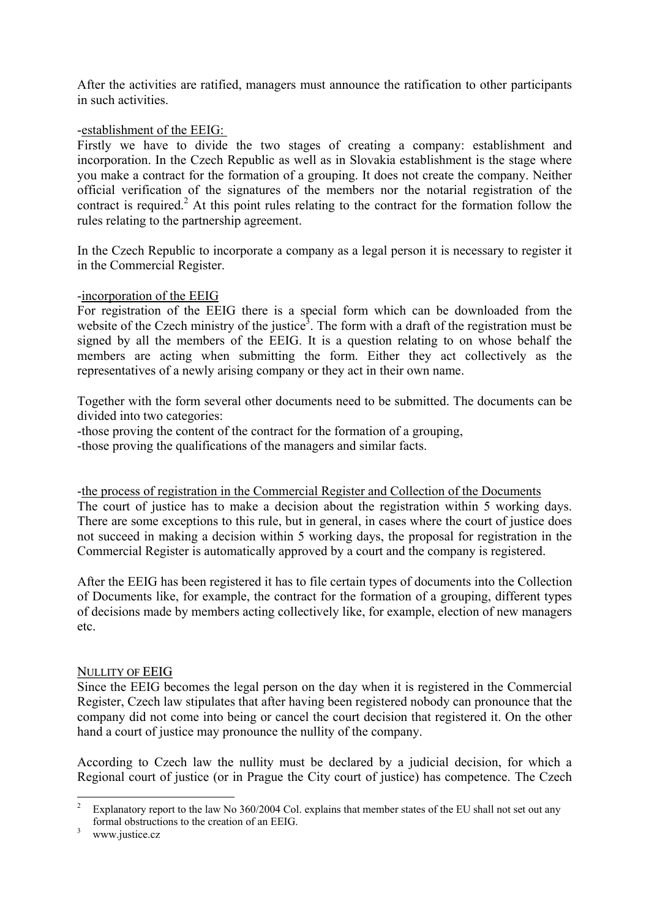After the activities are ratified, managers must announce the ratification to other participants in such activities.

## -establishment of the EEIG:

Firstly we have to divide the two stages of creating a company: establishment and incorporation. In the Czech Republic as well as in Slovakia establishment is the stage where you make a contract for the formation of a grouping. It does not create the company. Neither official verification of the signatures of the members nor the notarial registration of the contract is required.<sup>2</sup> At this point rules relating to the contract for the formation follow the rules relating to the partnership agreement.

In the Czech Republic to incorporate a company as a legal person it is necessary to register it in the Commercial Register.

#### -incorporation of the EEIG

For registration of the EEIG there is a special form which can be downloaded from the website of the Czech ministry of the justice<sup>3</sup>. The form with a draft of the registration must be signed by all the members of the EEIG. It is a question relating to on whose behalf the members are acting when submitting the form. Either they act collectively as the representatives of a newly arising company or they act in their own name.

Together with the form several other documents need to be submitted. The documents can be divided into two categories:

-those proving the content of the contract for the formation of a grouping,

-those proving the qualifications of the managers and similar facts.

-the process of registration in the Commercial Register and Collection of the Documents The court of justice has to make a decision about the registration within 5 working days. There are some exceptions to this rule, but in general, in cases where the court of justice does not succeed in making a decision within 5 working days, the proposal for registration in the Commercial Register is automatically approved by a court and the company is registered.

After the EEIG has been registered it has to file certain types of documents into the Collection of Documents like, for example, the contract for the formation of a grouping, different types of decisions made by members acting collectively like, for example, election of new managers etc.

#### NULLITY OF EEIG

Since the EEIG becomes the legal person on the day when it is registered in the Commercial Register, Czech law stipulates that after having been registered nobody can pronounce that the company did not come into being or cancel the court decision that registered it. On the other hand a court of justice may pronounce the nullity of the company.

According to Czech law the nullity must be declared by a judicial decision, for which a Regional court of justice (or in Prague the City court of justice) has competence. The Czech

<span id="page-1-0"></span> $\frac{1}{2}$  Explanatory report to the law No 360/2004 Col. explains that member states of the EU shall not set out any formal obstructions to the creation of an EEIG.

<span id="page-1-1"></span>www.justice.cz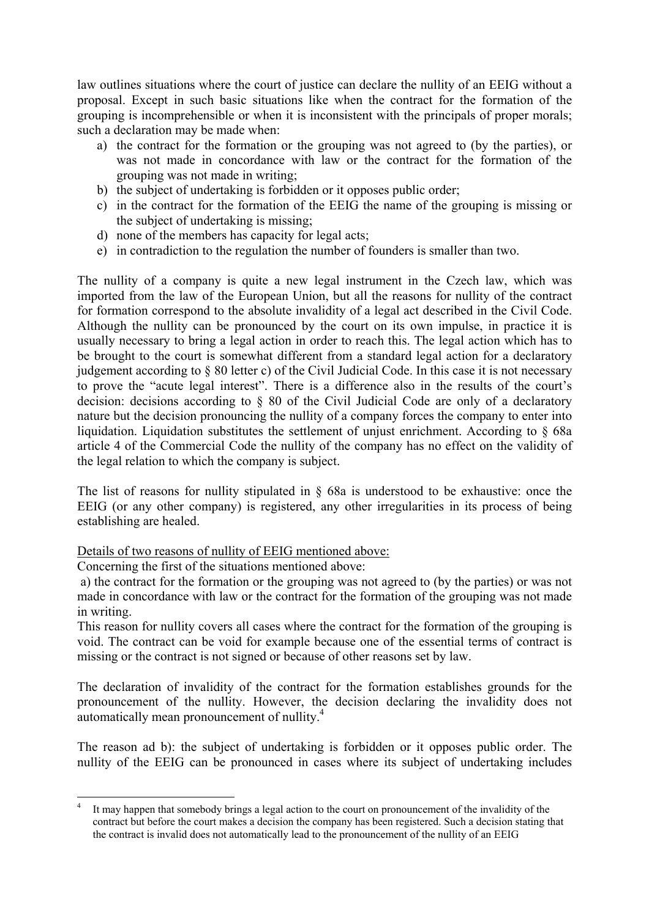law outlines situations where the court of justice can declare the nullity of an EEIG without a proposal. Except in such basic situations like when the contract for the formation of the grouping is incomprehensible or when it is inconsistent with the principals of proper morals; such a declaration may be made when:

- a) the contract for the formation or the grouping was not agreed to (by the parties), or was not made in concordance with law or the contract for the formation of the grouping was not made in writing;
- b) the subject of undertaking is forbidden or it opposes public order;
- c) in the contract for the formation of the EEIG the name of the grouping is missing or the subject of undertaking is missing;
- d) none of the members has capacity for legal acts;
- e) in contradiction to the regulation the number of founders is smaller than two.

The nullity of a company is quite a new legal instrument in the Czech law, which was imported from the law of the European Union, but all the reasons for nullity of the contract for formation correspond to the absolute invalidity of a legal act described in the Civil Code. Although the nullity can be pronounced by the court on its own impulse, in practice it is usually necessary to bring a legal action in order to reach this. The legal action which has to be brought to the court is somewhat different from a standard legal action for a declaratory judgement according to § 80 letter c) of the Civil Judicial Code. In this case it is not necessary to prove the "acute legal interest". There is a difference also in the results of the court's decision: decisions according to § 80 of the Civil Judicial Code are only of a declaratory nature but the decision pronouncing the nullity of a company forces the company to enter into liquidation. Liquidation substitutes the settlement of unjust enrichment. According to § 68a article 4 of the Commercial Code the nullity of the company has no effect on the validity of the legal relation to which the company is subject.

The list of reasons for nullity stipulated in § 68a is understood to be exhaustive: once the EEIG (or any other company) is registered, any other irregularities in its process of being establishing are healed.

Details of two reasons of nullity of EEIG mentioned above:

Concerning the first of the situations mentioned above:

1

 a) the contract for the formation or the grouping was not agreed to (by the parties) or was not made in concordance with law or the contract for the formation of the grouping was not made in writing.

This reason for nullity covers all cases where the contract for the formation of the grouping is void. The contract can be void for example because one of the essential terms of contract is missing or the contract is not signed or because of other reasons set by law.

The declaration of invalidity of the contract for the formation establishes grounds for the pronouncement of the nullity. However, the decision declaring the invalidity does not automatically mean pronouncement of nullity.<sup>4</sup>

The reason ad b): the subject of undertaking is forbidden or it opposes public order. The nullity of the EEIG can be pronounced in cases where its subject of undertaking includes

<span id="page-2-0"></span><sup>4</sup> It may happen that somebody brings a legal action to the court on pronouncement of the invalidity of the contract but before the court makes a decision the company has been registered. Such a decision stating that the contract is invalid does not automatically lead to the pronouncement of the nullity of an EEIG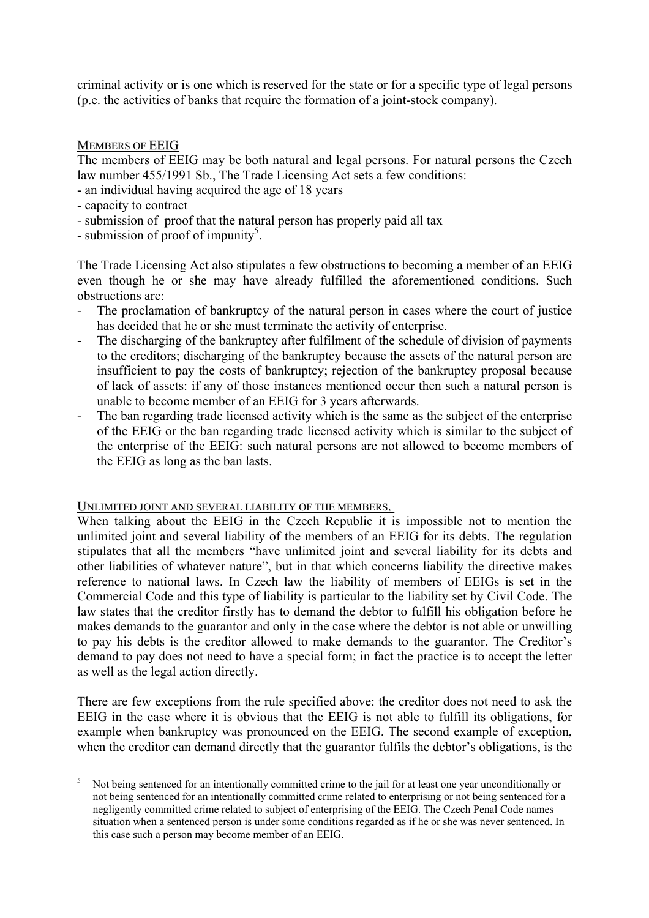criminal activity or is one which is reserved for the state or for a specific type of legal persons (p.e. the activities of banks that require the formation of a joint-stock company).

### **MEMBERS OF EEIG**

The members of EEIG may be both natural and legal persons. For natural persons the Czech law number 455/1991 Sb., The Trade Licensing Act sets a few conditions:

- an individual having acquired the age of 18 years
- capacity to contract

<u>.</u>

- submission of proof that the natural person has properly paid all tax
- submission of proof of impunity<sup>5</sup>.

The Trade Licensing Act also stipulates a few obstructions to becoming a member of an EEIG even though he or she may have already fulfilled the aforementioned conditions. Such obstructions are:

- The proclamation of bankruptcy of the natural person in cases where the court of justice has decided that he or she must terminate the activity of enterprise.
- The discharging of the bankruptcy after fulfilment of the schedule of division of payments to the creditors; discharging of the bankruptcy because the assets of the natural person are insufficient to pay the costs of bankruptcy; rejection of the bankruptcy proposal because of lack of assets: if any of those instances mentioned occur then such a natural person is unable to become member of an EEIG for 3 years afterwards.
- The ban regarding trade licensed activity which is the same as the subject of the enterprise of the EEIG or the ban regarding trade licensed activity which is similar to the subject of the enterprise of the EEIG: such natural persons are not allowed to become members of the EEIG as long as the ban lasts.

#### UNLIMITED JOINT AND SEVERAL LIABILITY OF THE MEMBERS.

When talking about the EEIG in the Czech Republic it is impossible not to mention the unlimited joint and several liability of the members of an EEIG for its debts. The regulation stipulates that all the members "have unlimited joint and several liability for its debts and other liabilities of whatever nature", but in that which concerns liability the directive makes reference to national laws. In Czech law the liability of members of EEIGs is set in the Commercial Code and this type of liability is particular to the liability set by Civil Code. The law states that the creditor firstly has to demand the debtor to fulfill his obligation before he makes demands to the guarantor and only in the case where the debtor is not able or unwilling to pay his debts is the creditor allowed to make demands to the guarantor. The Creditor's demand to pay does not need to have a special form; in fact the practice is to accept the letter as well as the legal action directly.

There are few exceptions from the rule specified above: the creditor does not need to ask the EEIG in the case where it is obvious that the EEIG is not able to fulfill its obligations, for example when bankruptcy was pronounced on the EEIG. The second example of exception, when the creditor can demand directly that the guarantor fulfils the debtor's obligations, is the

<span id="page-3-0"></span><sup>5</sup> Not being sentenced for an intentionally committed crime to the jail for at least one year unconditionally or not being sentenced for an intentionally committed crime related to enterprising or not being sentenced for a negligently committed crime related to subject of enterprising of the EEIG. The Czech Penal Code names situation when a sentenced person is under some conditions regarded as if he or she was never sentenced. In this case such a person may become member of an EEIG.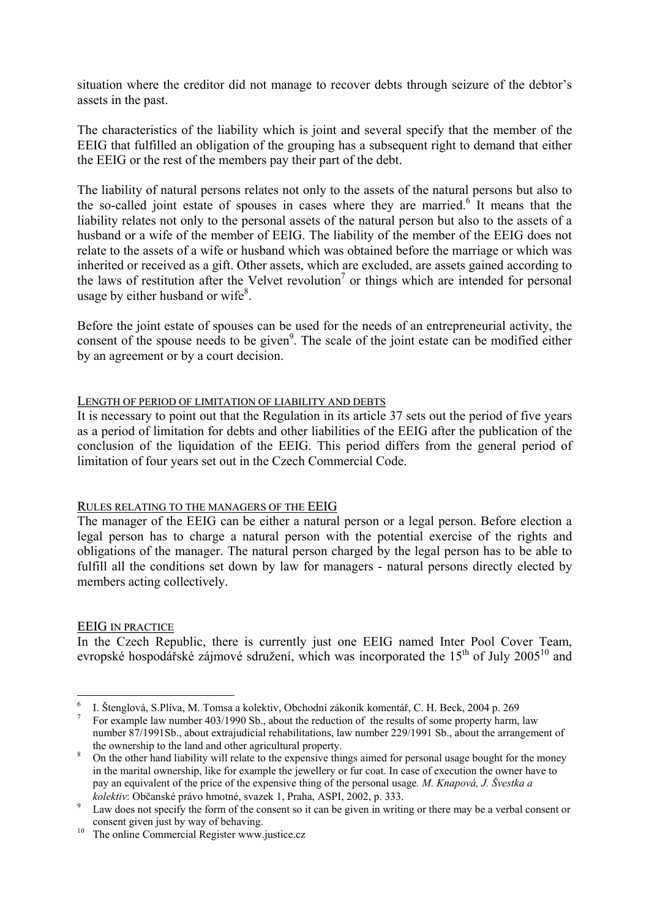situation where the creditor did not manage to recover debts through seizure of the debtor's assets in the past.

The characteristics of the liability which is joint and several specify that the member of the EEIG that fulfilled an obligation of the grouping has a subsequent right to demand that either the EEIG or the rest of the members pay their part of the debt.

The liability of natural persons relates not only to the assets of the natural persons but also to the so-called joint estate of spouses in cases where they are married.<sup>6</sup> It means that the liability relates not only to the personal assets of the natural person but also to the assets of a husband or a wife of the member of EEIG. The liability of the member of the EEIG does not relate to the assets of a wife or husband which was obtained before the marriage or which was inherited or received as a gift. Other assets, which are excluded, are assets gained according to the laws of restitution after the Velvet revolution<sup>[7](#page-4-1)</sup> or things which are intended for personal usage by either husband or wife $8$ .

Before the joint estate of spouses can be used for the needs of an entrepreneurial activity, the consent of the spouse needs to be given<sup>9</sup>. The scale of the joint estate can be modified either by an agreement or by a court decision.

#### LENGTH OF PERIOD OF LIMITATION OF LIABILITY AND DEBTS

It is necessary to point out that the Regulation in its article 37 sets out the period of five years as a period of limitation for debts and other liabilities of the EEIG after the publication of the conclusion of the liquidation of the EEIG. This period differs from the general period of limitation of four years set out in the Czech Commercial Code.

#### RULES RELATING TO THE MANAGERS OF THE EEIG

The manager of the EEIG can be either a natural person or a legal person. Before election a legal person has to charge a natural person with the potential exercise of the rights and obligations of the manager. The natural person charged by the legal person has to be able to fulfill all the conditions set down by law for managers - natural persons directly elected by members acting collectively.

#### EEIG IN PRACTICE

In the Czech Republic, there is currently just one EEIG named Inter Pool Cover Team, evropské hospodářské zájmové sdružení, which was incorporated the  $15<sup>th</sup>$  of July 2005<sup>10</sup> and

<sup>1</sup> 6 I. Štenglová, S.Plíva, M. Tomsa a kolektiv, Obchodní zákoník komentář, C. H. Beck, 2004 p. 269 7

<span id="page-4-1"></span><span id="page-4-0"></span>For example law number 403/1990 Sb., about the reduction of the results of some property harm, law number 87/1991Sb., about extrajudicial rehabilitations, law number 229/1991 Sb., about the arrangement of the ownership to the land and other agricultural property.

<span id="page-4-2"></span>On the other hand liability will relate to the expensive things aimed for personal usage bought for the money in the marital ownership, like for example the jewellery or fur coat. In case of execution the owner have to pay an equivalent of the price of the expensive thing of the personal usage*. M. Knapová, J. Švestka a kolektiv*: Občanské právo hmotné, svazek 1, Praha, ASPI, 2002, p. 333.

<span id="page-4-3"></span><sup>&</sup>lt;sup>9</sup> Law does not specify the form of the consent so it can be given in writing or there may be a verbal consent or consent given just by way of behaving. 10 The online Commercial Register www.justice.cz

<span id="page-4-4"></span>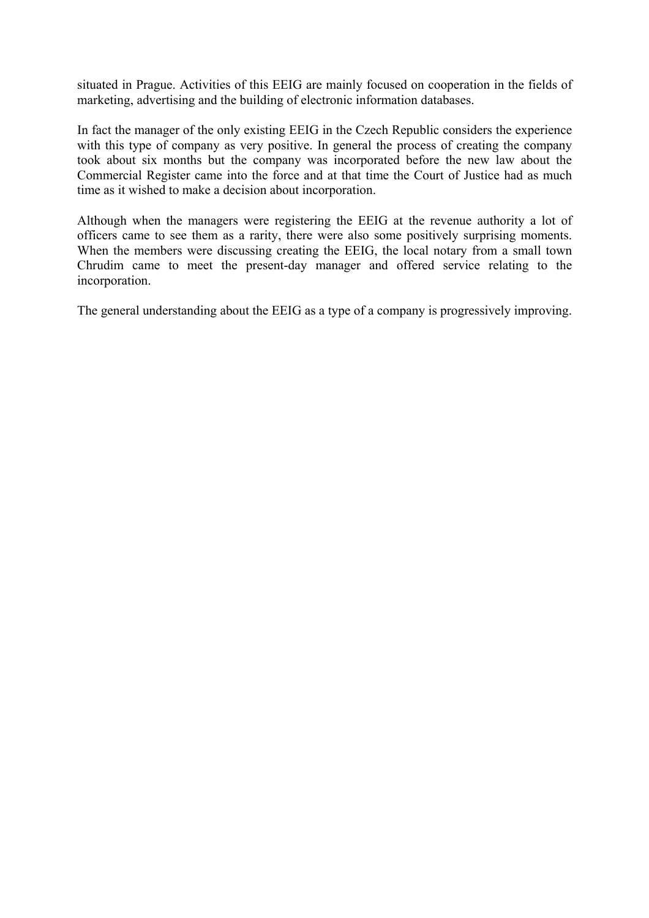situated in Prague. Activities of this EEIG are mainly focused on cooperation in the fields of marketing, advertising and the building of electronic information databases.

In fact the manager of the only existing EEIG in the Czech Republic considers the experience with this type of company as very positive. In general the process of creating the company took about six months but the company was incorporated before the new law about the Commercial Register came into the force and at that time the Court of Justice had as much time as it wished to make a decision about incorporation.

Although when the managers were registering the EEIG at the revenue authority a lot of officers came to see them as a rarity, there were also some positively surprising moments. When the members were discussing creating the EEIG, the local notary from a small town Chrudim came to meet the present-day manager and offered service relating to the incorporation.

The general understanding about the EEIG as a type of a company is progressively improving.